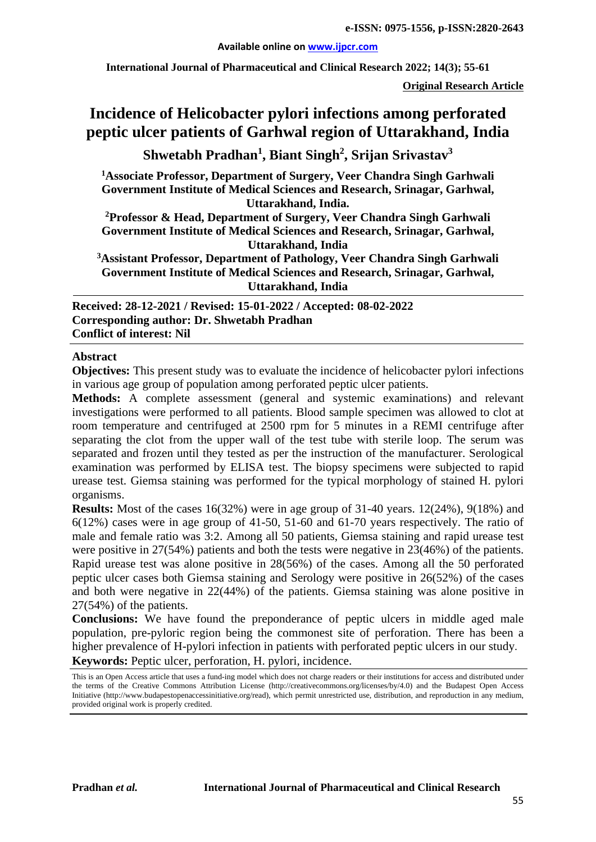#### **Available online on [www.ijpcr.com](http://www.ijpcr.com/)**

**International Journal of Pharmaceutical and Clinical Research 2022; 14(3); 55-61**

**Original Research Article**

# **Incidence of Helicobacter pylori infections among perforated peptic ulcer patients of Garhwal region of Uttarakhand, India**

**Shwetabh Pradhan<sup>1</sup> , Biant Singh2 , Srijan Srivastav3**

**1 Associate Professor, Department of Surgery, Veer Chandra Singh Garhwali Government Institute of Medical Sciences and Research, Srinagar, Garhwal, Uttarakhand, India.**

**2 Professor & Head, Department of Surgery, Veer Chandra Singh Garhwali Government Institute of Medical Sciences and Research, Srinagar, Garhwal, Uttarakhand, India**

**3Assistant Professor, Department of Pathology, Veer Chandra Singh Garhwali Government Institute of Medical Sciences and Research, Srinagar, Garhwal, Uttarakhand, India**

**Received: 28-12-2021 / Revised: 15-01-2022 / Accepted: 08-02-2022 Corresponding author: Dr. Shwetabh Pradhan Conflict of interest: Nil**

#### **Abstract**

**Objectives:** This present study was to evaluate the incidence of helicobacter pylori infections in various age group of population among perforated peptic ulcer patients.

**Methods:** A complete assessment (general and systemic examinations) and relevant investigations were performed to all patients. Blood sample specimen was allowed to clot at room temperature and centrifuged at 2500 rpm for 5 minutes in a REMI centrifuge after separating the clot from the upper wall of the test tube with sterile loop. The serum was separated and frozen until they tested as per the instruction of the manufacturer. Serological examination was performed by ELISA test. The biopsy specimens were subjected to rapid urease test. Giemsa staining was performed for the typical morphology of stained H. pylori organisms.

**Results:** Most of the cases 16(32%) were in age group of 31-40 years. 12(24%), 9(18%) and 6(12%) cases were in age group of 41-50, 51-60 and 61-70 years respectively. The ratio of male and female ratio was 3:2. Among all 50 patients, Giemsa staining and rapid urease test were positive in 27(54%) patients and both the tests were negative in 23(46%) of the patients. Rapid urease test was alone positive in 28(56%) of the cases. Among all the 50 perforated peptic ulcer cases both Giemsa staining and Serology were positive in 26(52%) of the cases and both were negative in 22(44%) of the patients. Giemsa staining was alone positive in 27(54%) of the patients.

**Conclusions:** We have found the preponderance of peptic ulcers in middle aged male population, pre-pyloric region being the commonest site of perforation. There has been a higher prevalence of H-pylori infection in patients with perforated peptic ulcers in our study. **Keywords:** Peptic ulcer, perforation, H. pylori, incidence.

This is an Open Access article that uses a fund-ing model which does not charge readers or their institutions for access and distributed under the terms of the Creative Commons Attribution License (http://creativecommons.org/licenses/by/4.0) and the Budapest Open Access Initiative (http://www.budapestopenaccessinitiative.org/read), which permit unrestricted use, distribution, and reproduction in any medium, provided original work is properly credited.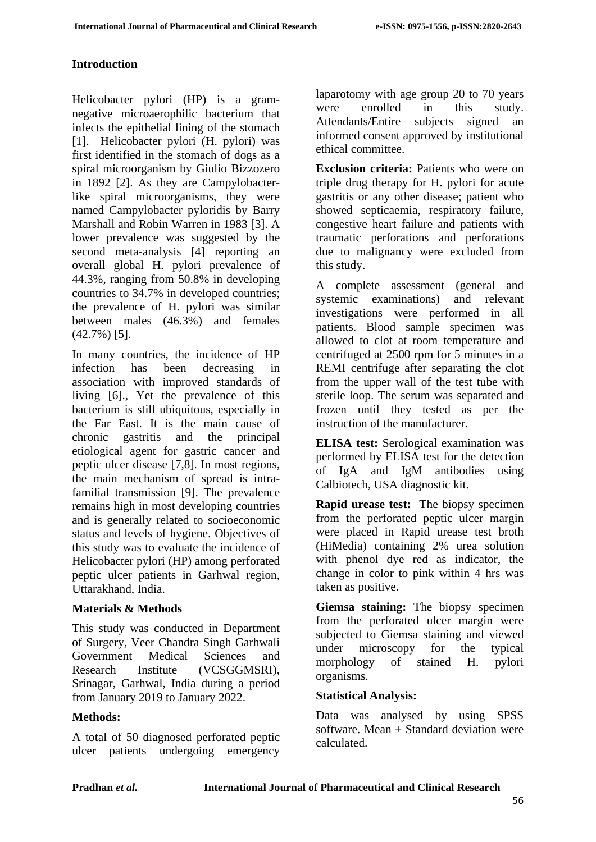### **Introduction**

Helicobacter pylori (HP) is a gramnegative microaerophilic bacterium that infects the epithelial lining of the stomach [1]. Helicobacter pylori (H. pylori) was first identified in the stomach of dogs as a spiral microorganism by Giulio Bizzozero in 1892 [2]. As they are Campylobacterlike spiral microorganisms, they were named Campylobacter pyloridis by Barry Marshall and Robin Warren in 1983 [3]. A lower prevalence was suggested by the second meta-analysis [4] reporting an overall global H. pylori prevalence of 44.3%, ranging from 50.8% in developing countries to 34.7% in developed countries; the prevalence of H. pylori was similar between males (46.3%) and females (42.7%) [5].

In many countries, the incidence of HP infection has been decreasing in association with improved standards of living [6]., Yet the prevalence of this bacterium is still ubiquitous, especially in the Far East. It is the main cause of chronic gastritis and the principal etiological agent for gastric cancer and peptic ulcer disease [7,8]. In most regions, the main mechanism of spread is intrafamilial transmission [9]. The prevalence remains high in most developing countries and is generally related to socioeconomic status and levels of hygiene. Objectives of this study was to evaluate the incidence of Helicobacter pylori (HP) among perforated peptic ulcer patients in Garhwal region, Uttarakhand, India.

#### **Materials & Methods**

This study was conducted in Department of Surgery, Veer Chandra Singh Garhwali Government Medical Sciences and Research Institute (VCSGGMSRI), Srinagar, Garhwal, India during a period from January 2019 to January 2022.

## **Methods:**

A total of 50 diagnosed perforated peptic ulcer patients undergoing emergency

laparotomy with age group 20 to 70 years were enrolled in this study. Attendants/Entire subjects signed an informed consent approved by institutional ethical committee.

**Exclusion criteria:** Patients who were on triple drug therapy for H. pylori for acute gastritis or any other disease; patient who showed septicaemia, respiratory failure, congestive heart failure and patients with traumatic perforations and perforations due to malignancy were excluded from this study.

A complete assessment (general and systemic examinations) and relevant investigations were performed in all patients. Blood sample specimen was allowed to clot at room temperature and centrifuged at 2500 rpm for 5 minutes in a REMI centrifuge after separating the clot from the upper wall of the test tube with sterile loop. The serum was separated and frozen until they tested as per the instruction of the manufacturer.

**ELISA test:** Serological examination was performed by ELISA test for the detection of IgA and IgM antibodies using Calbiotech, USA diagnostic kit.

**Rapid urease test:** The biopsy specimen from the perforated peptic ulcer margin were placed in Rapid urease test broth (HiMedia) containing 2% urea solution with phenol dye red as indicator, the change in color to pink within 4 hrs was taken as positive.

**Giemsa staining:** The biopsy specimen from the perforated ulcer margin were subjected to Giemsa staining and viewed under microscopy for the typical morphology of stained H. pylori organisms.

## **Statistical Analysis:**

Data was analysed by using SPSS software. Mean  $\pm$  Standard deviation were calculated.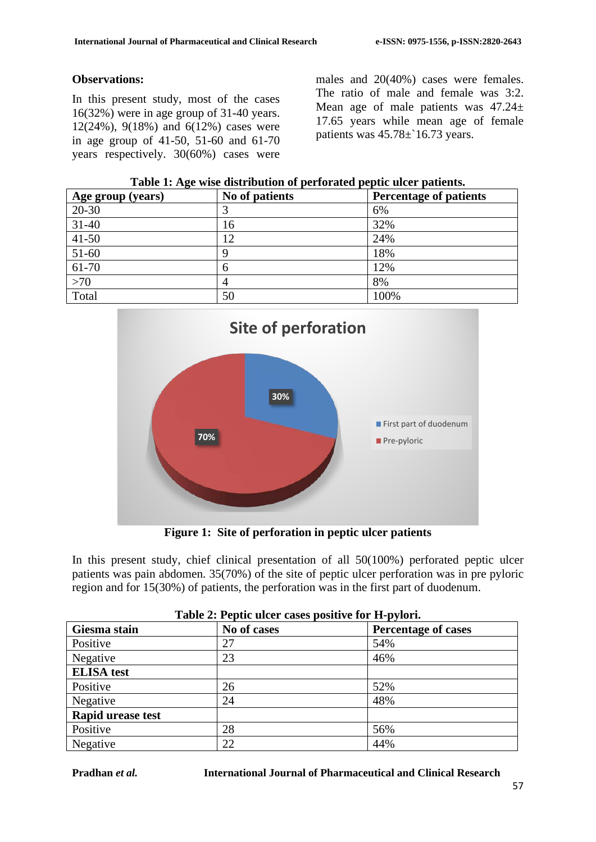#### **Observations:**

In this present study, most of the cases 16(32%) were in age group of 31-40 years. 12(24%), 9(18%) and 6(12%) cases were in age group of 41-50, 51-60 and 61-70 years respectively. 30(60%) cases were males and 20(40%) cases were females. The ratio of male and female was 3:2. Mean age of male patients was  $47.24 \pm$ 17.65 years while mean age of female patients was 45.78±`16.73 years.

| Table 1: Age wise distribution of perforated peptic ulcer patients. |  |  |
|---------------------------------------------------------------------|--|--|
|---------------------------------------------------------------------|--|--|

| Age group (years) | No of patients | <b>Percentage of patients</b> |
|-------------------|----------------|-------------------------------|
| $20 - 30$         |                | 6%                            |
| $31 - 40$         | 16             | 32%                           |
| $41 - 50$         | 12             | 24%                           |
| $51-60$           |                | 18%                           |
| 61-70             | h              | 12%                           |
| $>70$             |                | 8%                            |
| Total             | 50             | 100%                          |



**Figure 1: Site of perforation in peptic ulcer patients**

In this present study, chief clinical presentation of all 50(100%) perforated peptic ulcer patients was pain abdomen. 35(70%) of the site of peptic ulcer perforation was in pre pyloric region and for 15(30%) of patients, the perforation was in the first part of duodenum.

| Giesma stain             | No of cases | <b>Percentage of cases</b> |
|--------------------------|-------------|----------------------------|
| Positive                 | 27          | 54%                        |
| Negative                 | 23          | 46%                        |
| <b>ELISA</b> test        |             |                            |
| Positive                 | 26          | 52%                        |
| Negative                 | 24          | 48%                        |
| <b>Rapid urease test</b> |             |                            |
| Positive                 | 28          | 56%                        |
| Negative                 | 22          | 44%                        |

| Table 2: Peptic ulcer cases positive for H-pylori. |  |  |
|----------------------------------------------------|--|--|
|                                                    |  |  |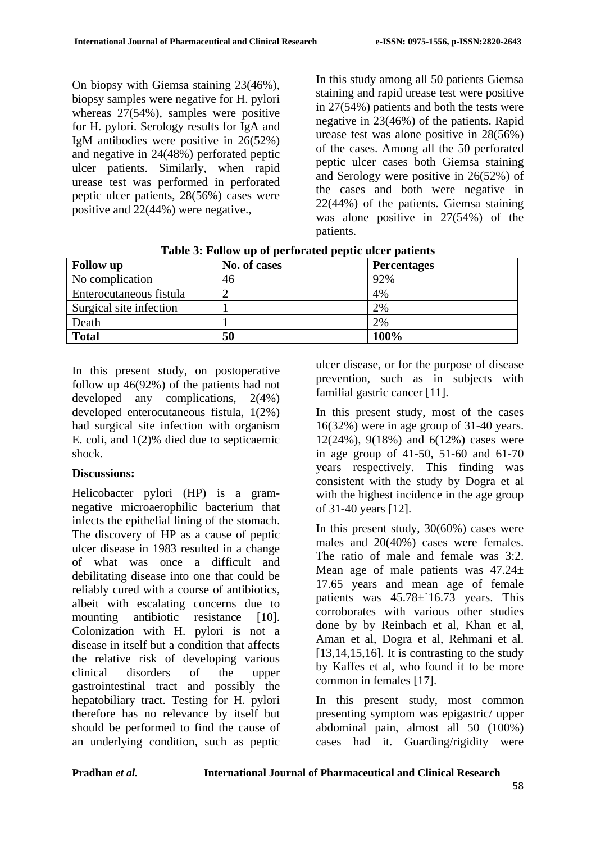On biopsy with Giemsa staining 23(46%), biopsy samples were negative for H. pylori whereas 27(54%), samples were positive for H. pylori. Serology results for IgA and IgM antibodies were positive in 26(52%) and negative in 24(48%) perforated peptic ulcer patients. Similarly, when rapid urease test was performed in perforated peptic ulcer patients, 28(56%) cases were positive and 22(44%) were negative.,

In this study among all 50 patients Giemsa staining and rapid urease test were positive in 27(54%) patients and both the tests were negative in 23(46%) of the patients. Rapid urease test was alone positive in 28(56%) of the cases. Among all the 50 perforated peptic ulcer cases both Giemsa staining and Serology were positive in 26(52%) of the cases and both were negative in 22(44%) of the patients. Giemsa staining was alone positive in 27(54%) of the patients.

| <b>Follow</b> up        | No. of cases | <b>Percentages</b> |
|-------------------------|--------------|--------------------|
| No complication         | 46           | 92%                |
| Enterocutaneous fistula |              | 4%                 |
| Surgical site infection |              | 2%                 |
| Death                   |              | 2%                 |
| <b>Total</b>            | 50           | 100%               |

**Table 3: Follow up of perforated peptic ulcer patients**

In this present study, on postoperative follow up 46(92%) of the patients had not developed any complications, 2(4%) developed enterocutaneous fistula, 1(2%) had surgical site infection with organism E. coli, and 1(2)% died due to septicaemic shock.

# **Discussions:**

Helicobacter pylori (HP) is a gramnegative microaerophilic bacterium that infects the epithelial lining of the stomach. The discovery of HP as a cause of peptic ulcer disease in 1983 resulted in a change of what was once a difficult and debilitating disease into one that could be reliably cured with a course of antibiotics, albeit with escalating concerns due to mounting antibiotic resistance [10]. Colonization with H. pylori is not a disease in itself but a condition that affects the relative risk of developing various clinical disorders of the upper gastrointestinal tract and possibly the hepatobiliary tract. Testing for H. pylori therefore has no relevance by itself but should be performed to find the cause of an underlying condition, such as peptic ulcer disease, or for the purpose of disease prevention, such as in subjects with familial gastric cancer [11].

In this present study, most of the cases 16(32%) were in age group of 31-40 years. 12(24%), 9(18%) and 6(12%) cases were in age group of 41-50, 51-60 and 61-70 years respectively. This finding was consistent with the study by Dogra et al with the highest incidence in the age group of 31-40 years [12].

In this present study, 30(60%) cases were males and 20(40%) cases were females. The ratio of male and female was 3:2. Mean age of male patients was  $47.24 \pm$ 17.65 years and mean age of female patients was  $45.78 \pm 16.73$  years. This corroborates with various other studies done by by Reinbach et al, Khan et al, Aman et al, Dogra et al, Rehmani et al.  $[13,14,15,16]$ . It is contrasting to the study by Kaffes et al, who found it to be more common in females [17].

In this present study, most common presenting symptom was epigastric/ upper abdominal pain, almost all 50 (100%) cases had it. Guarding/rigidity were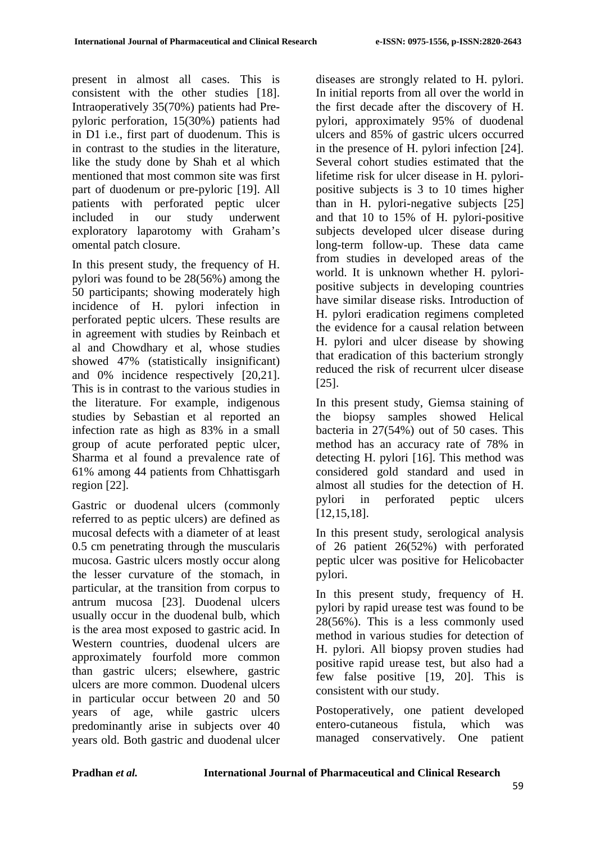present in almost all cases. This is consistent with the other studies [18]. Intraoperatively 35(70%) patients had Prepyloric perforation, 15(30%) patients had in D1 i.e., first part of duodenum. This is in contrast to the studies in the literature, like the study done by Shah et al which mentioned that most common site was first part of duodenum or pre-pyloric [19]. All patients with perforated peptic ulcer included in our study underwent exploratory laparotomy with Graham's omental patch closure.

In this present study, the frequency of H. pylori was found to be 28(56%) among the 50 participants; showing moderately high incidence of H. pylori infection in perforated peptic ulcers. These results are in agreement with studies by Reinbach et al and Chowdhary et al, whose studies showed 47% (statistically insignificant) and 0% incidence respectively [20,21]. This is in contrast to the various studies in the literature. For example, indigenous studies by Sebastian et al reported an infection rate as high as 83% in a small group of acute perforated peptic ulcer, Sharma et al found a prevalence rate of 61% among 44 patients from Chhattisgarh region [22].

Gastric or duodenal ulcers (commonly referred to as peptic ulcers) are defined as mucosal defects with a diameter of at least 0.5 cm penetrating through the muscularis mucosa. Gastric ulcers mostly occur along the lesser curvature of the stomach, in particular, at the transition from corpus to antrum mucosa [23]. Duodenal ulcers usually occur in the duodenal bulb, which is the area most exposed to gastric acid. In Western countries, duodenal ulcers are approximately fourfold more common than gastric ulcers; elsewhere, gastric ulcers are more common. Duodenal ulcers in particular occur between 20 and 50 years of age, while gastric ulcers predominantly arise in subjects over 40 years old. Both gastric and duodenal ulcer diseases are strongly related to H. pylori. In initial reports from all over the world in the first decade after the discovery of H. pylori, approximately 95% of duodenal ulcers and 85% of gastric ulcers occurred in the presence of H. pylori infection [24]. Several cohort studies estimated that the lifetime risk for ulcer disease in H. pyloripositive subjects is 3 to 10 times higher than in H. pylori-negative subjects [25] and that 10 to 15% of H. pylori-positive subjects developed ulcer disease during long-term follow-up. These data came from studies in developed areas of the world. It is unknown whether H. pyloripositive subjects in developing countries have similar disease risks. Introduction of H. pylori eradication regimens completed the evidence for a causal relation between H. pylori and ulcer disease by showing that eradication of this bacterium strongly reduced the risk of recurrent ulcer disease [25].

In this present study, Giemsa staining of the biopsy samples showed Helical bacteria in 27(54%) out of 50 cases. This method has an accuracy rate of 78% in detecting H. pylori [16]. This method was considered gold standard and used in almost all studies for the detection of H. pylori in perforated peptic ulcers [12,15,18].

In this present study, serological analysis of 26 patient 26(52%) with perforated peptic ulcer was positive for Helicobacter pylori.

In this present study, frequency of H. pylori by rapid urease test was found to be 28(56%). This is a less commonly used method in various studies for detection of H. pylori. All biopsy proven studies had positive rapid urease test, but also had a few false positive [19, 20]. This is consistent with our study.

Postoperatively, one patient developed entero-cutaneous fistula, which was managed conservatively. One patient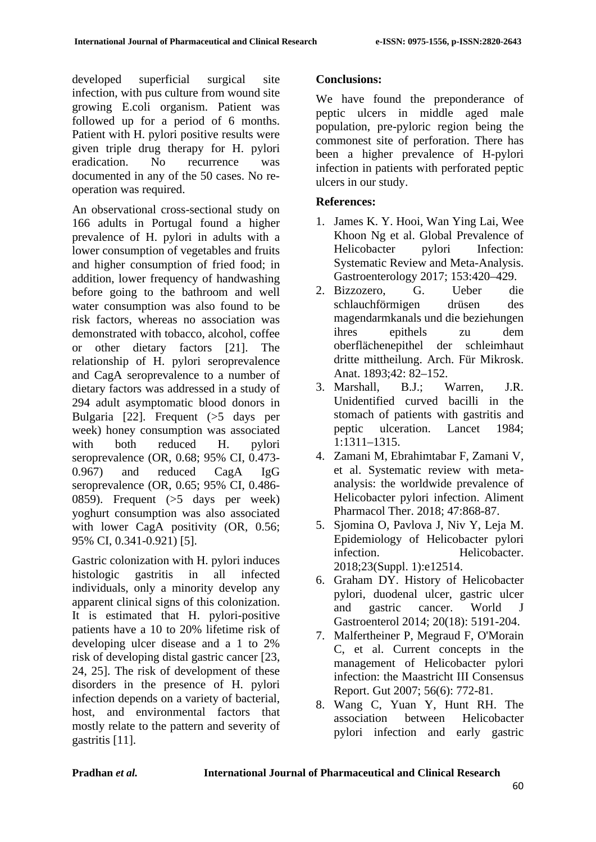developed superficial surgical site infection, with pus culture from wound site growing E.coli organism. Patient was followed up for a period of 6 months. Patient with H. pylori positive results were given triple drug therapy for H. pylori eradication. No recurrence was documented in any of the 50 cases. No reoperation was required.

An observational cross-sectional study on 166 adults in Portugal found a higher prevalence of H. pylori in adults with a lower consumption of vegetables and fruits and higher consumption of fried food; in addition, lower frequency of handwashing before going to the bathroom and well water consumption was also found to be risk factors, whereas no association was demonstrated with tobacco, alcohol, coffee or other dietary factors [21]. The relationship of H. pylori seroprevalence and CagA seroprevalence to a number of dietary factors was addressed in a study of 294 adult asymptomatic blood donors in Bulgaria [22]. Frequent (>5 days per week) honey consumption was associated with both reduced H. pylori seroprevalence (OR, 0.68; 95% CI, 0.473- 0.967) and reduced CagA IgG seroprevalence (OR, 0.65; 95% CI, 0.486- 0859). Frequent (>5 days per week) yoghurt consumption was also associated with lower CagA positivity (OR, 0.56; 95% CI, 0.341-0.921) [5].

Gastric colonization with H. pylori induces histologic gastritis in all infected individuals, only a minority develop any apparent clinical signs of this colonization. It is estimated that H. pylori-positive patients have a 10 to 20% lifetime risk of developing ulcer disease and a 1 to 2% risk of developing distal gastric cancer [23, 24, 25]. The risk of development of these disorders in the presence of H. pylori infection depends on a variety of bacterial, host, and environmental factors that mostly relate to the pattern and severity of gastritis [11].

## **Conclusions:**

We have found the preponderance of peptic ulcers in middle aged male population, pre-pyloric region being the commonest site of perforation. There has been a higher prevalence of H-pylori infection in patients with perforated peptic ulcers in our study.

## **References:**

- 1. James K. Y. Hooi, Wan Ying Lai, Wee Khoon Ng et al. Global Prevalence of Helicobacter pylori Infection: Systematic Review and Meta-Analysis. Gastroenterology 2017; 153:420–429.
- 2. Bizzozero, G. Ueber die schlauchförmigen drüsen des magendarmkanals und die beziehungen ihres epithels zu dem oberflächenepithel der schleimhaut dritte mittheilung. Arch. Für Mikrosk. Anat. 1893;42: 82–152.
- 3. Marshall, B.J.; Warren, J.R. Unidentified curved bacilli in the stomach of patients with gastritis and peptic ulceration. Lancet 1984; 1:1311–1315.
- 4. Zamani M, Ebrahimtabar F, Zamani V, et al. Systematic review with metaanalysis: the worldwide prevalence of Helicobacter pylori infection. Aliment Pharmacol Ther. 2018; 47:868-87.
- 5. Sjomina O, Pavlova J, Niv Y, Leja M. Epidemiology of Helicobacter pylori infection. Helicobacter. 2018;23(Suppl. 1):e12514.
- 6. Graham DY. History of Helicobacter pylori, duodenal ulcer, gastric ulcer and gastric cancer. World J Gastroenterol 2014; 20(18): 5191-204.
- 7. Malfertheiner P, Megraud F, O'Morain C, et al. Current concepts in the management of Helicobacter pylori infection: the Maastricht III Consensus Report. Gut 2007; 56(6): 772-81.
- 8. Wang C, Yuan Y, Hunt RH. The association between Helicobacter pylori infection and early gastric